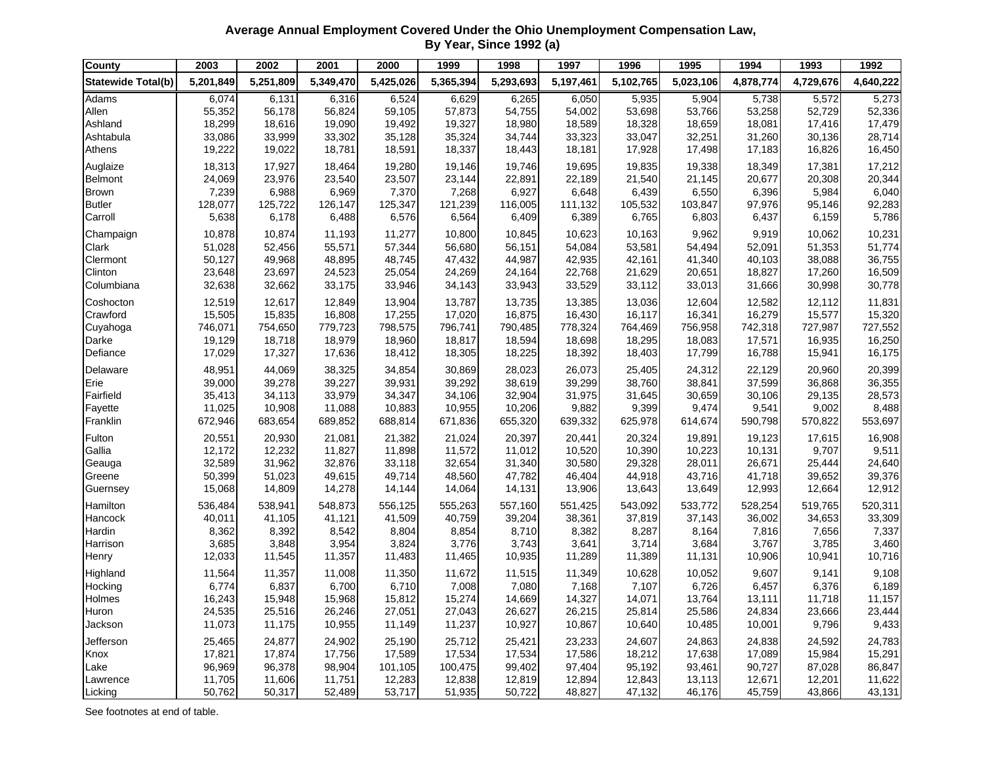**Average Annual Employment Covered Under the Ohio Unemployment Compensation Law, By Year, Since 1992 (a)**

| <b>County</b>             | 2003      | 2002      | 2001      | 2000      | 1999      | 1998      | 1997      | 1996      | 1995      | 1994      | 1993      | 1992      |
|---------------------------|-----------|-----------|-----------|-----------|-----------|-----------|-----------|-----------|-----------|-----------|-----------|-----------|
| <b>Statewide Total(b)</b> | 5,201,849 | 5,251,809 | 5,349,470 | 5,425,026 | 5,365,394 | 5,293,693 | 5,197,461 | 5,102,765 | 5,023,106 | 4,878,774 | 4,729,676 | 4,640,222 |
| Adams                     | 6,074     | 6,131     | 6,316     | 6,524     | 6,629     | 6,265     | 6,050     | 5,935     | 5,904     | 5,738     | 5,572     | 5,273     |
| Allen                     | 55,352    | 56,178    | 56,824    | 59,105    | 57,873    | 54,755    | 54,002    | 53,698    | 53,766    | 53,258    | 52,729    | 52,336    |
| Ashland                   | 18,299    | 18,616    | 19,090    | 19,492    | 19,327    | 18,980    | 18,589    | 18,328    | 18,659    | 18,081    | 17,416    | 17,479    |
| Ashtabula                 | 33,086    | 33,999    | 33,302    | 35,128    | 35,324    | 34,744    | 33,323    | 33,047    | 32,251    | 31,260    | 30,136    | 28,714    |
| Athens                    | 19,222    | 19,022    | 18,781    | 18,591    | 18,337    | 18,443    | 18,181    | 17,928    | 17,498    | 17,183    | 16,826    | 16,450    |
| Auglaize                  | 18,313    | 17,927    | 18,464    | 19,280    | 19,146    | 19,746    | 19,695    | 19,835    | 19,338    | 18,349    | 17,381    | 17,212    |
| <b>Belmont</b>            | 24,069    | 23,976    | 23,540    | 23,507    | 23,144    | 22,891    | 22,189    | 21,540    | 21,145    | 20,677    | 20,308    | 20,344    |
| <b>Brown</b>              | 7,239     | 6,988     | 6,969     | 7,370     | 7,268     | 6,927     | 6,648     | 6,439     | 6,550     | 6,396     | 5,984     | 6,040     |
| <b>Butler</b>             | 128,077   | 125,722   | 126,147   | 125,347   | 121,239   | 116,005   | 111,132   | 105,532   | 103,847   | 97,976    | 95,146    | 92,283    |
| Carroll                   | 5,638     | 6,178     | 6,488     | 6,576     | 6,564     | 6,409     | 6,389     | 6,765     | 6,803     | 6,437     | 6,159     | 5,786     |
| Champaign                 | 10,878    | 10,874    | 11,193    | 11,277    | 10,800    | 10,845    | 10,623    | 10,163    | 9,962     | 9,919     | 10,062    | 10,231    |
| Clark                     | 51,028    | 52,456    | 55,571    | 57,344    | 56,680    | 56,151    | 54,084    | 53,581    | 54,494    | 52,091    | 51,353    | 51,774    |
| Clermont                  | 50,127    | 49,968    | 48,895    | 48,745    | 47,432    | 44,987    | 42,935    | 42,161    | 41,340    | 40,103    | 38,088    | 36,755    |
| Clinton                   | 23,648    | 23,697    | 24,523    | 25,054    | 24,269    | 24,164    | 22,768    | 21,629    | 20,651    | 18,827    | 17,260    | 16,509    |
| Columbiana                | 32,638    | 32,662    | 33,175    | 33,946    | 34,143    | 33,943    | 33,529    | 33,112    | 33,013    | 31,666    | 30,998    | 30,778    |
| Coshocton                 | 12,519    | 12,617    | 12,849    | 13,904    | 13,787    | 13,735    | 13,385    | 13,036    | 12,604    | 12,582    | 12,112    | 11,831    |
| Crawford                  | 15,505    | 15,835    | 16,808    | 17,255    | 17,020    | 16,875    | 16,430    | 16,117    | 16,341    | 16,279    | 15,577    | 15,320    |
| Cuyahoga                  | 746,071   | 754,650   | 779,723   | 798,575   | 796,741   | 790,485   | 778,324   | 764,469   | 756,958   | 742,318   | 727,987   | 727,552   |
| Darke                     | 19,129    | 18,718    | 18,979    | 18,960    | 18,817    | 18,594    | 18,698    | 18,295    | 18,083    | 17,571    | 16,935    | 16,250    |
| Defiance                  | 17,029    | 17,327    | 17,636    | 18,412    | 18,305    | 18,225    | 18,392    | 18,403    | 17,799    | 16,788    | 15,941    | 16,175    |
| Delaware                  | 48,951    | 44,069    | 38,325    | 34,854    | 30,869    | 28,023    | 26,073    | 25,405    | 24,312    | 22,129    | 20,960    | 20,399    |
| Erie                      | 39,000    | 39,278    | 39,227    | 39,931    | 39,292    | 38,619    | 39,299    | 38,760    | 38,841    | 37,599    | 36,868    | 36,355    |
| Fairfield                 | 35,413    | 34,113    | 33,979    | 34,347    | 34,106    | 32,904    | 31,975    | 31,645    | 30,659    | 30,106    | 29,135    | 28,573    |
| Fayette                   | 11,025    | 10,908    | 11,088    | 10,883    | 10,955    | 10,206    | 9,882     | 9,399     | 9,474     | 9,541     | 9,002     | 8,488     |
| Franklin                  | 672,946   | 683,654   | 689,852   | 688,814   | 671,836   | 655,320   | 639,332   | 625,978   | 614,674   | 590,798   | 570,822   | 553,697   |
| Fulton                    | 20,551    | 20,930    | 21,081    | 21,382    | 21,024    | 20,397    | 20,441    | 20,324    | 19,891    | 19,123    | 17,615    | 16,908    |
| Gallia                    | 12,172    | 12,232    | 11,827    | 11,898    | 11,572    | 11,012    | 10,520    | 10,390    | 10,223    | 10,131    | 9,707     | 9,511     |
| Geauga                    | 32,589    | 31,962    | 32,876    | 33,118    | 32,654    | 31,340    | 30,580    | 29,328    | 28,011    | 26,671    | 25,444    | 24,640    |
| Greene                    | 50,399    | 51,023    | 49,615    | 49,714    | 48,560    | 47,782    | 46,404    | 44,918    | 43,716    | 41,718    | 39,652    | 39,376    |
| Guernsey                  | 15,068    | 14,809    | 14,278    | 14,144    | 14,064    | 14,131    | 13,906    | 13,643    | 13,649    | 12,993    | 12,664    | 12,912    |
| Hamilton                  | 536,484   | 538,941   | 548,873   | 556,125   | 555,263   | 557,160   | 551,425   | 543,092   | 533,772   | 528,254   | 519,765   | 520,311   |
| Hancock                   | 40,011    | 41,105    | 41,121    | 41,509    | 40,759    | 39,204    | 38,361    | 37,819    | 37,143    | 36,002    | 34,653    | 33,309    |
| Hardin                    | 8,362     | 8,392     | 8,542     | 8,804     | 8,854     | 8,710     | 8,382     | 8,287     | 8,164     | 7,816     | 7,656     | 7,337     |
| Harrison                  | 3,685     | 3,848     | 3,954     | 3,824     | 3,776     | 3,743     | 3,641     | 3,714     | 3,684     | 3,767     | 3,785     | 3,460     |
| Henry                     | 12,033    | 11,545    | 11,357    | 11,483    | 11,465    | 10,935    | 11,289    | 11,389    | 11,131    | 10,906    | 10,941    | 10,716    |
| Highland                  | 11,564    | 11,357    | 11,008    | 11,350    | 11,672    | 11,515    | 11,349    | 10,628    | 10,052    | 9,607     | 9,141     | 9,108     |
| Hocking                   | 6,774     | 6,837     | 6,700     | 6,710     | 7,008     | 7,080     | 7,168     | 7,107     | 6,726     | 6,457     | 6,376     | 6,189     |
| Holmes                    | 16,243    | 15,948    | 15,968    | 15,812    | 15,274    | 14,669    | 14,327    | 14,071    | 13,764    | 13,111    | 11,718    | 11,157    |
| Huron                     | 24,535    | 25,516    | 26,246    | 27,051    | 27,043    | 26,627    | 26,215    | 25,814    | 25,586    | 24,834    | 23,666    | 23,444    |
| Jackson                   | 11,073    | 11,175    | 10,955    | 11,149    | 11,237    | 10,927    | 10,867    | 10,640    | 10,485    | 10,001    | 9,796     | 9,433     |
| Jefferson                 | 25,465    | 24,877    | 24,902    | 25,190    | 25,712    | 25,421    | 23,233    | 24,607    | 24,863    | 24,838    | 24,592    | 24,783    |
| Knox                      | 17,821    | 17,874    | 17,756    | 17,589    | 17,534    | 17,534    | 17,586    | 18,212    | 17,638    | 17,089    | 15,984    | 15,291    |
| Lake                      | 96,969    | 96,378    | 98,904    | 101,105   | 100,475   | 99,402    | 97,404    | 95,192    | 93,461    | 90,727    | 87,028    | 86,847    |
| Lawrence                  | 11,705    | 11,606    | 11,751    | 12,283    | 12,838    | 12,819    | 12,894    | 12,843    | 13,113    | 12,671    | 12,201    | 11,622    |
| Licking                   | 50,762    | 50,317    | 52,489    | 53,717    | 51,935    | 50,722    | 48,827    | 47,132    | 46,176    | 45,759    | 43,866    | 43,131    |

See footnotes at end of table.